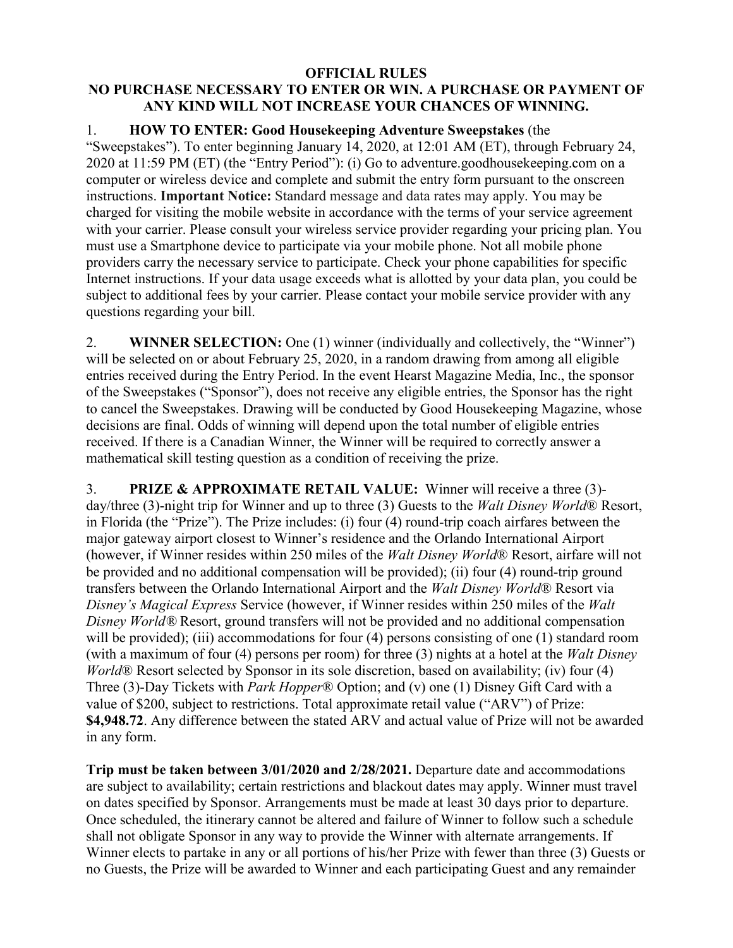## **OFFICIAL RULES NO PURCHASE NECESSARY TO ENTER OR WIN. A PURCHASE OR PAYMENT OF ANY KIND WILL NOT INCREASE YOUR CHANCES OF WINNING.**

## 1. **HOW TO ENTER: Good Housekeeping Adventure Sweepstakes** (the

"Sweepstakes"). To enter beginning January 14, 2020, at 12:01 AM (ET), through February 24, 2020 at 11:59 PM (ET) (the "Entry Period"): (i) Go to adventure.goodhousekeeping.com on a computer or wireless device and complete and submit the entry form pursuant to the onscreen instructions. **Important Notice:** Standard message and data rates may apply. You may be charged for visiting the mobile website in accordance with the terms of your service agreement with your carrier. Please consult your wireless service provider regarding your pricing plan. You must use a Smartphone device to participate via your mobile phone. Not all mobile phone providers carry the necessary service to participate. Check your phone capabilities for specific Internet instructions. If your data usage exceeds what is allotted by your data plan, you could be subject to additional fees by your carrier. Please contact your mobile service provider with any questions regarding your bill.

2. **WINNER SELECTION:** One (1) winner (individually and collectively, the "Winner") will be selected on or about February 25, 2020, in a random drawing from among all eligible entries received during the Entry Period. In the event Hearst Magazine Media, Inc., the sponsor of the Sweepstakes ("Sponsor"), does not receive any eligible entries, the Sponsor has the right to cancel the Sweepstakes. Drawing will be conducted by Good Housekeeping Magazine, whose decisions are final. Odds of winning will depend upon the total number of eligible entries received. If there is a Canadian Winner, the Winner will be required to correctly answer a mathematical skill testing question as a condition of receiving the prize.

3. **PRIZE & APPROXIMATE RETAIL VALUE:** Winner will receive a three (3) day/three (3)-night trip for Winner and up to three (3) Guests to the *Walt Disney World*® Resort, in Florida (the "Prize"). The Prize includes: (i) four (4) round-trip coach airfares between the major gateway airport closest to Winner's residence and the Orlando International Airport (however, if Winner resides within 250 miles of the *Walt Disney World*® Resort, airfare will not be provided and no additional compensation will be provided); (ii) four (4) round-trip ground transfers between the Orlando International Airport and the *Walt Disney World*® Resort via *Disney's Magical Express* Service (however, if Winner resides within 250 miles of the *Walt Disney World®* Resort, ground transfers will not be provided and no additional compensation will be provided); (iii) accommodations for four (4) persons consisting of one (1) standard room (with a maximum of four (4) persons per room) for three (3) nights at a hotel at the *Walt Disney World*<sup>®</sup> Resort selected by Sponsor in its sole discretion, based on availability; (iv) four (4) Three (3)-Day Tickets with *Park Hopper*® Option; and (v) one (1) Disney Gift Card with a value of \$200, subject to restrictions. Total approximate retail value ("ARV") of Prize: **\$4,948.72**. Any difference between the stated ARV and actual value of Prize will not be awarded in any form.

**Trip must be taken between 3/01/2020 and 2/28/2021.** Departure date and accommodations are subject to availability; certain restrictions and blackout dates may apply. Winner must travel on dates specified by Sponsor. Arrangements must be made at least 30 days prior to departure. Once scheduled, the itinerary cannot be altered and failure of Winner to follow such a schedule shall not obligate Sponsor in any way to provide the Winner with alternate arrangements. If Winner elects to partake in any or all portions of his/her Prize with fewer than three (3) Guests or no Guests, the Prize will be awarded to Winner and each participating Guest and any remainder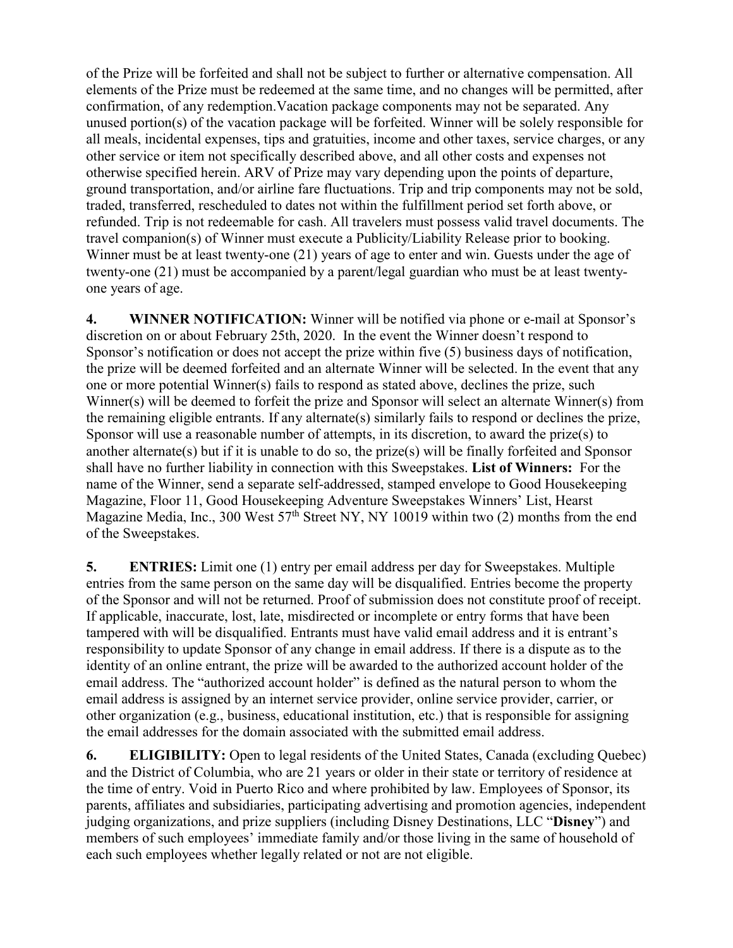of the Prize will be forfeited and shall not be subject to further or alternative compensation. All elements of the Prize must be redeemed at the same time, and no changes will be permitted, after confirmation, of any redemption.Vacation package components may not be separated. Any unused portion(s) of the vacation package will be forfeited. Winner will be solely responsible for all meals, incidental expenses, tips and gratuities, income and other taxes, service charges, or any other service or item not specifically described above, and all other costs and expenses not otherwise specified herein. ARV of Prize may vary depending upon the points of departure, ground transportation, and/or airline fare fluctuations. Trip and trip components may not be sold, traded, transferred, rescheduled to dates not within the fulfillment period set forth above, or refunded. Trip is not redeemable for cash. All travelers must possess valid travel documents. The travel companion(s) of Winner must execute a Publicity/Liability Release prior to booking. Winner must be at least twenty-one (21) years of age to enter and win. Guests under the age of twenty-one (21) must be accompanied by a parent/legal guardian who must be at least twentyone years of age.

**4. WINNER NOTIFICATION:** Winner will be notified via phone or e-mail at Sponsor's discretion on or about February 25th, 2020. In the event the Winner doesn't respond to Sponsor's notification or does not accept the prize within five (5) business days of notification, the prize will be deemed forfeited and an alternate Winner will be selected. In the event that any one or more potential Winner(s) fails to respond as stated above, declines the prize, such Winner(s) will be deemed to forfeit the prize and Sponsor will select an alternate Winner(s) from the remaining eligible entrants. If any alternate(s) similarly fails to respond or declines the prize, Sponsor will use a reasonable number of attempts, in its discretion, to award the prize(s) to another alternate(s) but if it is unable to do so, the prize(s) will be finally forfeited and Sponsor shall have no further liability in connection with this Sweepstakes. **List of Winners:** For the name of the Winner, send a separate self-addressed, stamped envelope to Good Housekeeping Magazine, Floor 11, Good Housekeeping Adventure Sweepstakes Winners' List, Hearst Magazine Media, Inc., 300 West  $57<sup>th</sup>$  Street NY, NY 10019 within two (2) months from the end of the Sweepstakes.

**5. ENTRIES:** Limit one (1) entry per email address per day for Sweepstakes. Multiple entries from the same person on the same day will be disqualified. Entries become the property of the Sponsor and will not be returned. Proof of submission does not constitute proof of receipt. If applicable, inaccurate, lost, late, misdirected or incomplete or entry forms that have been tampered with will be disqualified. Entrants must have valid email address and it is entrant's responsibility to update Sponsor of any change in email address. If there is a dispute as to the identity of an online entrant, the prize will be awarded to the authorized account holder of the email address. The "authorized account holder" is defined as the natural person to whom the email address is assigned by an internet service provider, online service provider, carrier, or other organization (e.g., business, educational institution, etc.) that is responsible for assigning the email addresses for the domain associated with the submitted email address.

**6. ELIGIBILITY:** Open to legal residents of the United States, Canada (excluding Quebec) and the District of Columbia, who are 21 years or older in their state or territory of residence at the time of entry. Void in Puerto Rico and where prohibited by law. Employees of Sponsor, its parents, affiliates and subsidiaries, participating advertising and promotion agencies, independent judging organizations, and prize suppliers (including Disney Destinations, LLC "**Disney**") and members of such employees' immediate family and/or those living in the same of household of each such employees whether legally related or not are not eligible.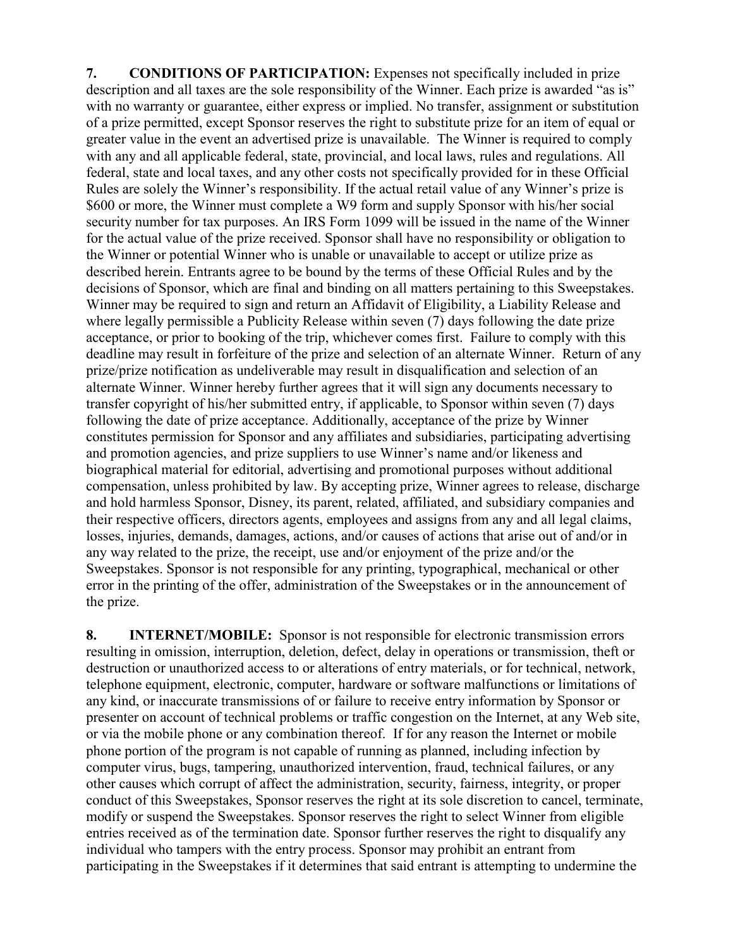**7. CONDITIONS OF PARTICIPATION:** Expenses not specifically included in prize description and all taxes are the sole responsibility of the Winner. Each prize is awarded "as is" with no warranty or guarantee, either express or implied. No transfer, assignment or substitution of a prize permitted, except Sponsor reserves the right to substitute prize for an item of equal or greater value in the event an advertised prize is unavailable. The Winner is required to comply with any and all applicable federal, state, provincial, and local laws, rules and regulations. All federal, state and local taxes, and any other costs not specifically provided for in these Official Rules are solely the Winner's responsibility. If the actual retail value of any Winner's prize is \$600 or more, the Winner must complete a W9 form and supply Sponsor with his/her social security number for tax purposes. An IRS Form 1099 will be issued in the name of the Winner for the actual value of the prize received. Sponsor shall have no responsibility or obligation to the Winner or potential Winner who is unable or unavailable to accept or utilize prize as described herein. Entrants agree to be bound by the terms of these Official Rules and by the decisions of Sponsor, which are final and binding on all matters pertaining to this Sweepstakes. Winner may be required to sign and return an Affidavit of Eligibility, a Liability Release and where legally permissible a Publicity Release within seven (7) days following the date prize acceptance, or prior to booking of the trip, whichever comes first. Failure to comply with this deadline may result in forfeiture of the prize and selection of an alternate Winner. Return of any prize/prize notification as undeliverable may result in disqualification and selection of an alternate Winner. Winner hereby further agrees that it will sign any documents necessary to transfer copyright of his/her submitted entry, if applicable, to Sponsor within seven (7) days following the date of prize acceptance. Additionally, acceptance of the prize by Winner constitutes permission for Sponsor and any affiliates and subsidiaries, participating advertising and promotion agencies, and prize suppliers to use Winner's name and/or likeness and biographical material for editorial, advertising and promotional purposes without additional compensation, unless prohibited by law. By accepting prize, Winner agrees to release, discharge and hold harmless Sponsor, Disney, its parent, related, affiliated, and subsidiary companies and their respective officers, directors agents, employees and assigns from any and all legal claims, losses, injuries, demands, damages, actions, and/or causes of actions that arise out of and/or in any way related to the prize, the receipt, use and/or enjoyment of the prize and/or the Sweepstakes. Sponsor is not responsible for any printing, typographical, mechanical or other error in the printing of the offer, administration of the Sweepstakes or in the announcement of the prize.

**8. INTERNET/MOBILE:** Sponsor is not responsible for electronic transmission errors resulting in omission, interruption, deletion, defect, delay in operations or transmission, theft or destruction or unauthorized access to or alterations of entry materials, or for technical, network, telephone equipment, electronic, computer, hardware or software malfunctions or limitations of any kind, or inaccurate transmissions of or failure to receive entry information by Sponsor or presenter on account of technical problems or traffic congestion on the Internet, at any Web site, or via the mobile phone or any combination thereof. If for any reason the Internet or mobile phone portion of the program is not capable of running as planned, including infection by computer virus, bugs, tampering, unauthorized intervention, fraud, technical failures, or any other causes which corrupt of affect the administration, security, fairness, integrity, or proper conduct of this Sweepstakes, Sponsor reserves the right at its sole discretion to cancel, terminate, modify or suspend the Sweepstakes. Sponsor reserves the right to select Winner from eligible entries received as of the termination date. Sponsor further reserves the right to disqualify any individual who tampers with the entry process. Sponsor may prohibit an entrant from participating in the Sweepstakes if it determines that said entrant is attempting to undermine the